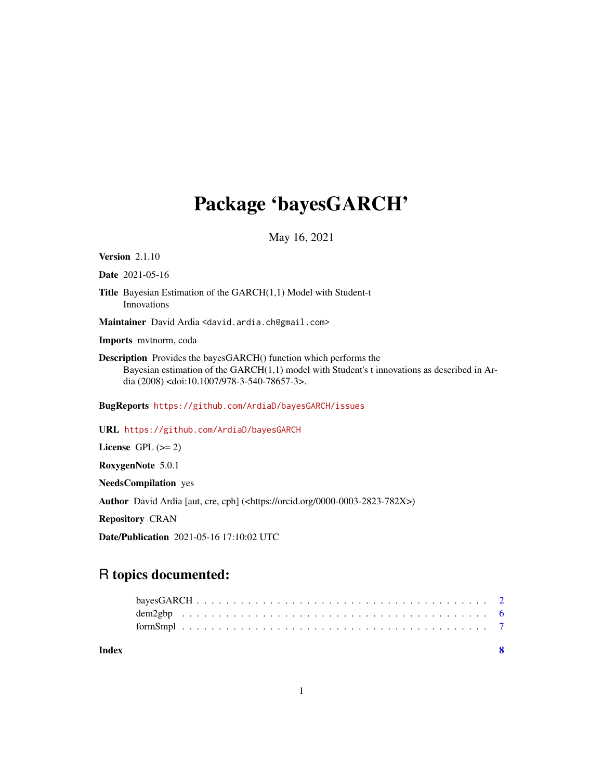## Package 'bayesGARCH'

May 16, 2021

<span id="page-0-0"></span>**Version 2.1.10** 

Date 2021-05-16

Title Bayesian Estimation of the GARCH(1,1) Model with Student-t Innovations

Maintainer David Ardia <david.ardia.ch@gmail.com>

Imports mvtnorm, coda

Description Provides the bayesGARCH() function which performs the Bayesian estimation of the GARCH(1,1) model with Student's t innovations as described in Ardia (2008) <doi:10.1007/978-3-540-78657-3>.

BugReports <https://github.com/ArdiaD/bayesGARCH/issues>

URL <https://github.com/ArdiaD/bayesGARCH>

License GPL  $(>= 2)$ 

RoxygenNote 5.0.1

NeedsCompilation yes

Author David Ardia [aut, cre, cph] (<https://orcid.org/0000-0003-2823-782X>)

Repository CRAN

Date/Publication 2021-05-16 17:10:02 UTC

### R topics documented:

| Index |  |  |  |  |  |  |  |  |  |  |  |  |  |  |  |  |  |  |
|-------|--|--|--|--|--|--|--|--|--|--|--|--|--|--|--|--|--|--|
|       |  |  |  |  |  |  |  |  |  |  |  |  |  |  |  |  |  |  |
|       |  |  |  |  |  |  |  |  |  |  |  |  |  |  |  |  |  |  |
|       |  |  |  |  |  |  |  |  |  |  |  |  |  |  |  |  |  |  |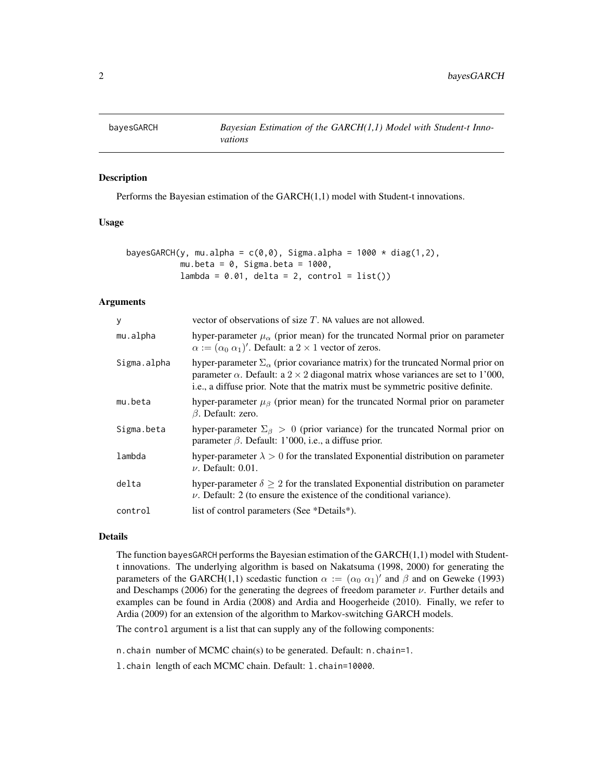<span id="page-1-1"></span><span id="page-1-0"></span>

#### Description

Performs the Bayesian estimation of the GARCH(1,1) model with Student-t innovations.

#### Usage

| bayesGARCH(y, mu.alpha = c(0,0), Sigma.alpha = 1000 $\star$ diag(1,2), |                                                |  |  |
|------------------------------------------------------------------------|------------------------------------------------|--|--|
|                                                                        | mu.beta = 0, Sigma.beta = 1000,                |  |  |
|                                                                        | $lambda = 0.01$ , delta = 2, control = list()) |  |  |

#### Arguments

| y           | vector of observations of size $T$ . NA values are not allowed.                                                                                                                                                                                                              |
|-------------|------------------------------------------------------------------------------------------------------------------------------------------------------------------------------------------------------------------------------------------------------------------------------|
| mu.alpha    | hyper-parameter $\mu_{\alpha}$ (prior mean) for the truncated Normal prior on parameter<br>$\alpha := (\alpha_0 \alpha_1)'$ . Default: a 2 × 1 vector of zeros.                                                                                                              |
| Sigma.alpha | hyper-parameter $\Sigma_{\alpha}$ (prior covariance matrix) for the truncated Normal prior on<br>parameter $\alpha$ . Default: a 2 × 2 diagonal matrix whose variances are set to 1'000,<br>i.e., a diffuse prior. Note that the matrix must be symmetric positive definite. |
| mu.beta     | hyper-parameter $\mu_{\beta}$ (prior mean) for the truncated Normal prior on parameter<br>$\beta$ . Default: zero.                                                                                                                                                           |
| Sigma.beta  | hyper-parameter $\Sigma_{\beta} > 0$ (prior variance) for the truncated Normal prior on<br>parameter $\beta$ . Default: 1'000, i.e., a diffuse prior.                                                                                                                        |
| lambda      | hyper-parameter $\lambda > 0$ for the translated Exponential distribution on parameter<br>$\nu$ . Default: 0.01.                                                                                                                                                             |
| delta       | hyper-parameter $\delta \geq 2$ for the translated Exponential distribution on parameter<br>$\nu$ . Default: 2 (to ensure the existence of the conditional variance).                                                                                                        |
| control     | list of control parameters (See *Details*).                                                                                                                                                                                                                                  |
|             |                                                                                                                                                                                                                                                                              |

#### Details

The function bayesGARCH performs the Bayesian estimation of the  $GARCH(1,1)$  model with Studentt innovations. The underlying algorithm is based on Nakatsuma (1998, 2000) for generating the parameters of the GARCH(1,1) scedastic function  $\alpha := (\alpha_0 \alpha_1)'$  and  $\beta$  and on Geweke (1993) and Deschamps (2006) for the generating the degrees of freedom parameter  $\nu$ . Further details and examples can be found in Ardia (2008) and Ardia and Hoogerheide (2010). Finally, we refer to Ardia (2009) for an extension of the algorithm to Markov-switching GARCH models.

The control argument is a list that can supply any of the following components:

n.chain number of MCMC chain(s) to be generated. Default: n.chain=1.

l.chain length of each MCMC chain. Default: l.chain=10000.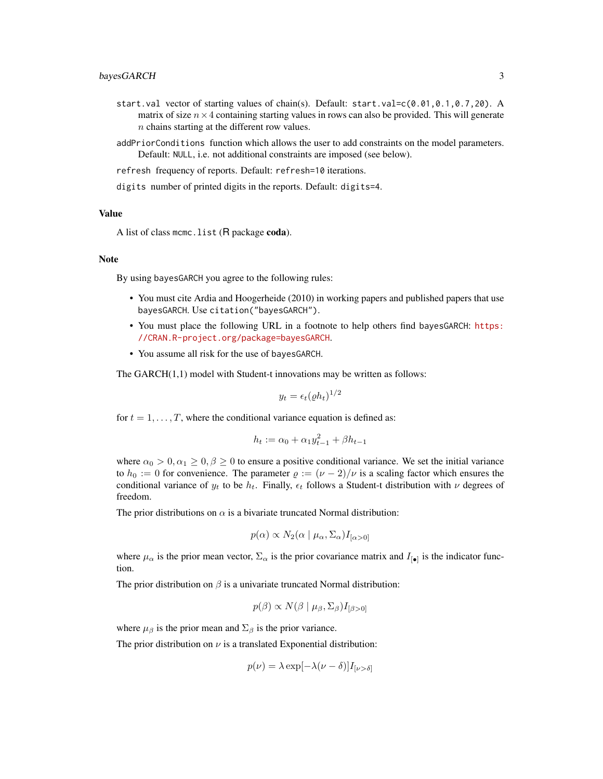- start.val vector of starting values of chain(s). Default: start.val=c(0.01,0.1,0.7,20). A matrix of size  $n \times 4$  containing starting values in rows can also be provided. This will generate n chains starting at the different row values.
- addPriorConditions function which allows the user to add constraints on the model parameters. Default: NULL, i.e. not additional constraints are imposed (see below).
- refresh frequency of reports. Default: refresh=10 iterations.
- digits number of printed digits in the reports. Default: digits=4.

#### Value

A list of class mcmc.list (R package coda).

#### Note

By using bayesGARCH you agree to the following rules:

- You must cite Ardia and Hoogerheide (2010) in working papers and published papers that use bayesGARCH. Use citation("bayesGARCH").
- You must place the following URL in a footnote to help others find bayesGARCH: [https:](https://CRAN.R-project.org/package=bayesGARCH) [//CRAN.R-project.org/package=bayesGARCH](https://CRAN.R-project.org/package=bayesGARCH).
- You assume all risk for the use of bayesGARCH.

The GARCH(1,1) model with Student-t innovations may be written as follows:

$$
y_t = \epsilon_t (\varrho h_t)^{1/2}
$$

for  $t = 1, \ldots, T$ , where the conditional variance equation is defined as:

$$
h_t := \alpha_0 + \alpha_1 y_{t-1}^2 + \beta h_{t-1}
$$

where  $\alpha_0 > 0, \alpha_1 \geq 0, \beta \geq 0$  to ensure a positive conditional variance. We set the initial variance to  $h_0 := 0$  for convenience. The parameter  $\varrho := (\nu - 2)/\nu$  is a scaling factor which ensures the conditional variance of  $y_t$  to be  $h_t$ . Finally,  $\epsilon_t$  follows a Student-t distribution with  $\nu$  degrees of freedom.

The prior distributions on  $\alpha$  is a bivariate truncated Normal distribution:

$$
p(\alpha) \propto N_2(\alpha \mid \mu_\alpha, \Sigma_\alpha) I_{[\alpha > 0]}
$$

where  $\mu_{\alpha}$  is the prior mean vector,  $\Sigma_{\alpha}$  is the prior covariance matrix and  $I_{\llbracket \bullet \rrbracket}$  is the indicator function.

The prior distribution on  $\beta$  is a univariate truncated Normal distribution:

$$
p(\beta) \propto N(\beta \mid \mu_{\beta}, \Sigma_{\beta}) I_{[\beta > 0]}
$$

where  $\mu_{\beta}$  is the prior mean and  $\Sigma_{\beta}$  is the prior variance.

The prior distribution on  $\nu$  is a translated Exponential distribution:

$$
p(\nu) = \lambda \exp[-\lambda(\nu - \delta)]I_{\nu > \delta]}
$$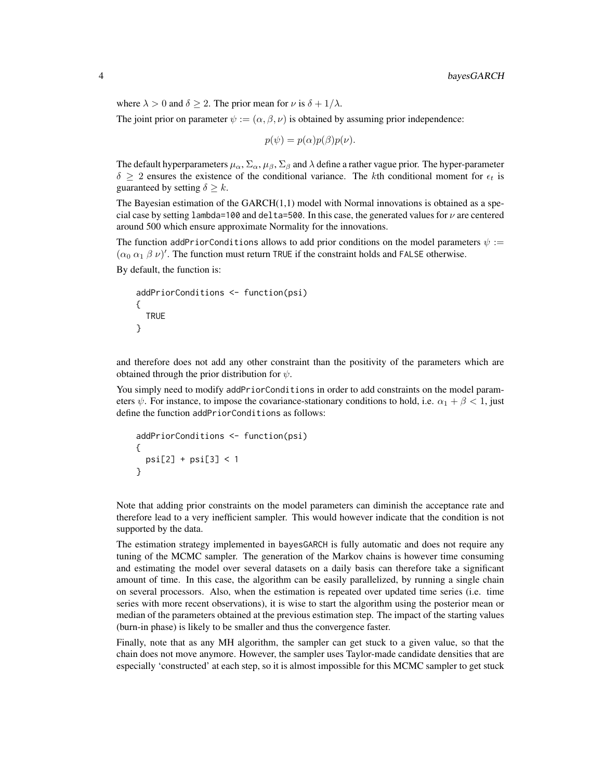where  $\lambda > 0$  and  $\delta \geq 2$ . The prior mean for  $\nu$  is  $\delta + 1/\lambda$ . The joint prior on parameter  $\psi := (\alpha, \beta, \nu)$  is obtained by assuming prior independence:

$$
p(\psi) = p(\alpha)p(\beta)p(\nu).
$$

The default hyperparameters  $\mu_\alpha$ ,  $\Sigma_\alpha$ ,  $\mu_\beta$ ,  $\Sigma_\beta$  and  $\lambda$  define a rather vague prior. The hyper-parameter  $\delta \geq 2$  ensures the existence of the conditional variance. The kth conditional moment for  $\epsilon_t$  is guaranteed by setting  $\delta \geq k$ .

The Bayesian estimation of the GARCH(1,1) model with Normal innovations is obtained as a special case by setting lambda=100 and delta=500. In this case, the generated values for  $\nu$  are centered around 500 which ensure approximate Normality for the innovations.

The function addPriorConditions allows to add prior conditions on the model parameters  $\psi$  :=  $(\alpha_0 \alpha_1 \beta \nu)'$ . The function must return TRUE if the constraint holds and FALSE otherwise.

By default, the function is:

```
addPriorConditions <- function(psi)
{
  TRUE
}
```
and therefore does not add any other constraint than the positivity of the parameters which are obtained through the prior distribution for  $\psi$ .

You simply need to modify addPriorConditions in order to add constraints on the model parameters  $\psi$ . For instance, to impose the covariance-stationary conditions to hold, i.e.  $\alpha_1 + \beta < 1$ , just define the function addPriorConditions as follows:

```
addPriorConditions <- function(psi)
{
  psi[2] + psi[3] < 1
}
```
Note that adding prior constraints on the model parameters can diminish the acceptance rate and therefore lead to a very inefficient sampler. This would however indicate that the condition is not supported by the data.

The estimation strategy implemented in bayesGARCH is fully automatic and does not require any tuning of the MCMC sampler. The generation of the Markov chains is however time consuming and estimating the model over several datasets on a daily basis can therefore take a significant amount of time. In this case, the algorithm can be easily parallelized, by running a single chain on several processors. Also, when the estimation is repeated over updated time series (i.e. time series with more recent observations), it is wise to start the algorithm using the posterior mean or median of the parameters obtained at the previous estimation step. The impact of the starting values (burn-in phase) is likely to be smaller and thus the convergence faster.

Finally, note that as any MH algorithm, the sampler can get stuck to a given value, so that the chain does not move anymore. However, the sampler uses Taylor-made candidate densities that are especially 'constructed' at each step, so it is almost impossible for this MCMC sampler to get stuck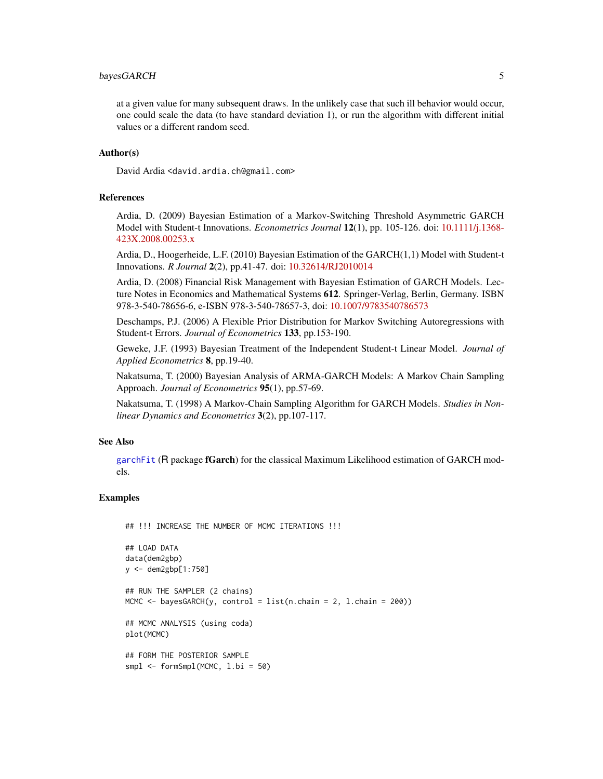#### <span id="page-4-0"></span>bayesGARCH 5

at a given value for many subsequent draws. In the unlikely case that such ill behavior would occur, one could scale the data (to have standard deviation 1), or run the algorithm with different initial values or a different random seed.

#### Author(s)

David Ardia <david.ardia.ch@gmail.com>

#### References

Ardia, D. (2009) Bayesian Estimation of a Markov-Switching Threshold Asymmetric GARCH Model with Student-t Innovations. *Econometrics Journal* 12(1), pp. 105-126. doi: [10.1111/j.1368-](https://doi.org/10.1111/j.1368-423X.2008.00253.x) [423X.2008.00253.x](https://doi.org/10.1111/j.1368-423X.2008.00253.x)

Ardia, D., Hoogerheide, L.F. (2010) Bayesian Estimation of the GARCH(1,1) Model with Student-t Innovations. *R Journal* 2(2), pp.41-47. doi: [10.32614/RJ2010014](https://doi.org/10.32614/RJ-2010-014)

Ardia, D. (2008) Financial Risk Management with Bayesian Estimation of GARCH Models. Lecture Notes in Economics and Mathematical Systems 612. Springer-Verlag, Berlin, Germany. ISBN 978-3-540-78656-6, e-ISBN 978-3-540-78657-3, doi: [10.1007/9783540786573](https://doi.org/10.1007/978-3-540-78657-3)

Deschamps, P.J. (2006) A Flexible Prior Distribution for Markov Switching Autoregressions with Student-t Errors. *Journal of Econometrics* 133, pp.153-190.

Geweke, J.F. (1993) Bayesian Treatment of the Independent Student-t Linear Model. *Journal of Applied Econometrics* 8, pp.19-40.

Nakatsuma, T. (2000) Bayesian Analysis of ARMA-GARCH Models: A Markov Chain Sampling Approach. *Journal of Econometrics* 95(1), pp.57-69.

Nakatsuma, T. (1998) A Markov-Chain Sampling Algorithm for GARCH Models. *Studies in Nonlinear Dynamics and Econometrics* 3(2), pp.107-117.

#### See Also

[garchFit](#page-0-0) (R package fGarch) for the classical Maximum Likelihood estimation of GARCH models.

#### Examples

```
## !!! INCREASE THE NUMBER OF MCMC ITERATIONS !!!
## LOAD DATA
data(dem2gbp)
y <- dem2gbp[1:750]
## RUN THE SAMPLER (2 chains)
MCMC \leq bayesGARCH(y, control = list(n.chain = 2, l.chain = 200))
## MCMC ANALYSIS (using coda)
plot(MCMC)
## FORM THE POSTERIOR SAMPLE
smpl <- formSmpl(MCMC, l.bi = 50)
```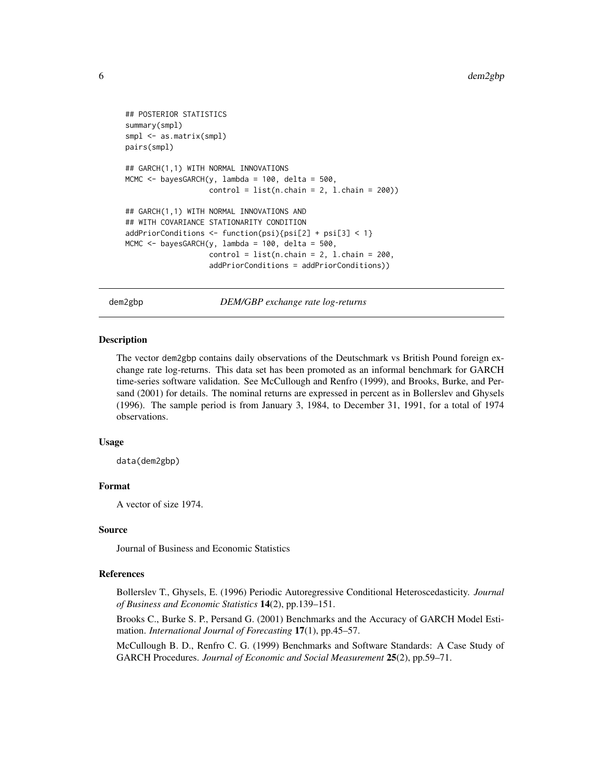```
## POSTERIOR STATISTICS
summary(smpl)
smpl <- as.matrix(smpl)
pairs(smpl)
## GARCH(1,1) WITH NORMAL INNOVATIONS
MCMC \le bayesGARCH(y, lambda = 100, delta = 500,
                   control = list(n-chain = 2, 1-chain = 200)## GARCH(1,1) WITH NORMAL INNOVATIONS AND
## WITH COVARIANCE STATIONARITY CONDITION
addPriorConditions <- function(psi){psi[2] + psi[3] < 1}
MCMC <- bayesGARCH(y, lambda = 100, delta = 500,
                   control = list(n-chain = 2, 1-chain = 200,addPriorConditions = addPriorConditions))
```
dem2gbp *DEM/GBP exchange rate log-returns*

#### Description

The vector dem2gbp contains daily observations of the Deutschmark vs British Pound foreign exchange rate log-returns. This data set has been promoted as an informal benchmark for GARCH time-series software validation. See McCullough and Renfro (1999), and Brooks, Burke, and Persand (2001) for details. The nominal returns are expressed in percent as in Bollerslev and Ghysels (1996). The sample period is from January 3, 1984, to December 31, 1991, for a total of 1974 observations.

#### Usage

data(dem2gbp)

#### Format

A vector of size 1974.

#### Source

Journal of Business and Economic Statistics

#### References

Bollerslev T., Ghysels, E. (1996) Periodic Autoregressive Conditional Heteroscedasticity. *Journal of Business and Economic Statistics* 14(2), pp.139–151.

Brooks C., Burke S. P., Persand G. (2001) Benchmarks and the Accuracy of GARCH Model Estimation. *International Journal of Forecasting* 17(1), pp.45–57.

McCullough B. D., Renfro C. G. (1999) Benchmarks and Software Standards: A Case Study of GARCH Procedures. *Journal of Economic and Social Measurement* 25(2), pp.59–71.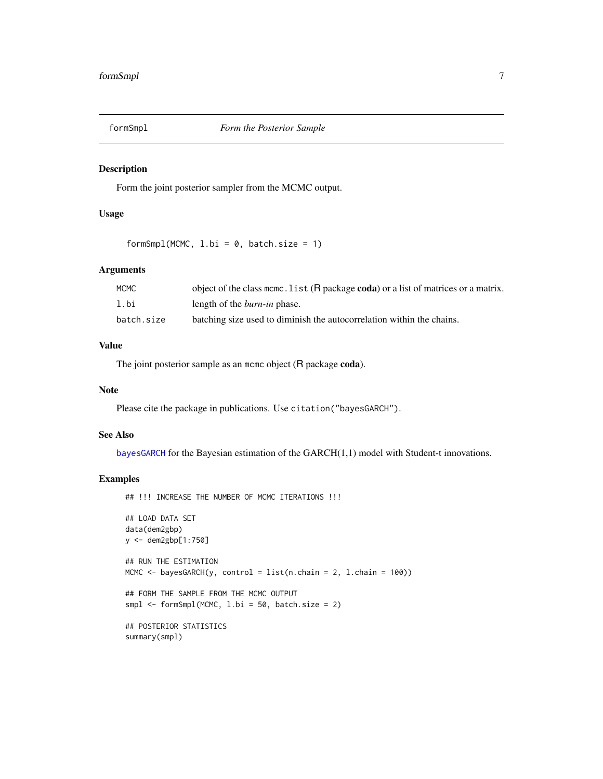<span id="page-6-0"></span>

#### Description

Form the joint posterior sampler from the MCMC output.

#### Usage

 $formSmpl(MCMC, 1.bi = 0, batch.size = 1)$ 

#### Arguments

| <b>MCMC</b> | object of the class mcmc. list (R package coda) or a list of matrices or a matrix. |
|-------------|------------------------------------------------------------------------------------|
| 1.bi        | length of the <i>burn-in</i> phase.                                                |
| batch.size  | batching size used to diminish the autocorrelation within the chains.              |

#### Value

The joint posterior sample as an mcmc object (R package coda).

#### Note

Please cite the package in publications. Use citation("bayesGARCH").

#### See Also

[bayesGARCH](#page-1-1) for the Bayesian estimation of the GARCH(1,1) model with Student-t innovations.

#### Examples

```
## !!! INCREASE THE NUMBER OF MCMC ITERATIONS !!!
## LOAD DATA SET
data(dem2gbp)
y <- dem2gbp[1:750]
## RUN THE ESTIMATION
MCMC <- bayesGARCH(y, control = list(n.chain = 2, l.chain = 100))
## FORM THE SAMPLE FROM THE MCMC OUTPUT
smpl \leftarrow formSmpl(MCMC, l.bi = 50, batch.size = 2)## POSTERIOR STATISTICS
summary(smpl)
```